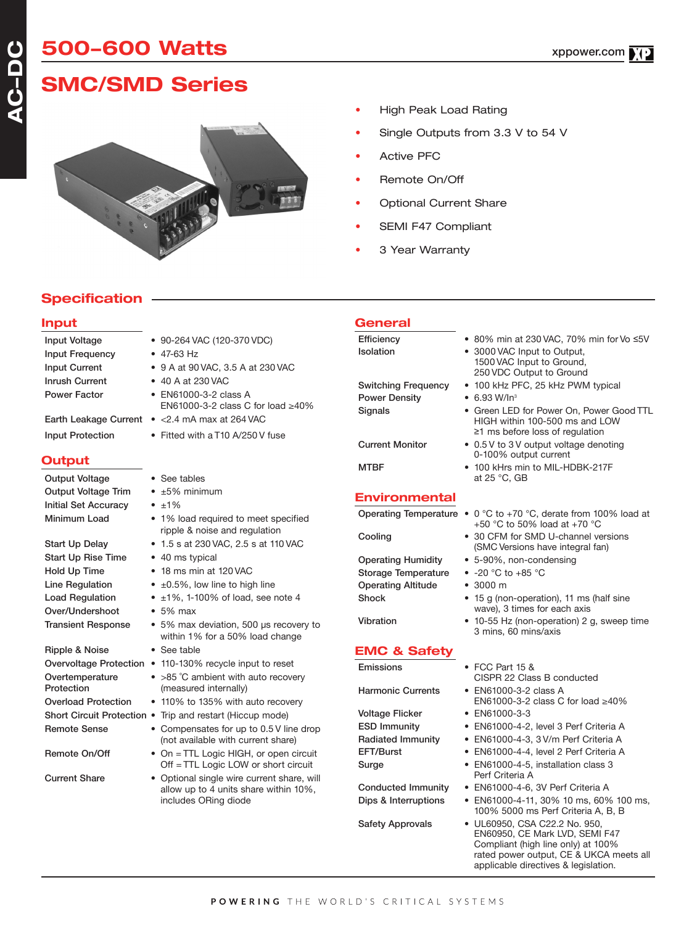# **SMC/SMD Series**



- High Peak Load Rating
- Single Outputs from 3.3 V to 54 V
- Active PFC
- Remote On/Off
- Optional Current Share
- SEMI F47 Compliant
- 3 Year Warranty

# **Specification**

### **Input**

**AC-DC**

| Input Frequency               | $\bullet$ 47-63 Hz                                                                     |  |  |  |
|-------------------------------|----------------------------------------------------------------------------------------|--|--|--|
| <b>Input Current</b>          | • 9 A at 90 VAC, 3.5 A at 230 VAC                                                      |  |  |  |
| <b>Inrush Current</b>         | • 40 A at 230 VAC<br>• EN61000-3-2 class A<br>EN61000-3-2 class C for load $\geq 40\%$ |  |  |  |
| <b>Power Factor</b>           |                                                                                        |  |  |  |
| <b>Earth Leakage Current</b>  | $\bullet$ <2.4 mA max at 264 VAC                                                       |  |  |  |
| <b>Input Protection</b>       | • Fitted with a T10 A/250 V fuse                                                       |  |  |  |
| Output                        |                                                                                        |  |  |  |
| <b>Output Voltage</b>         | • See tables                                                                           |  |  |  |
| <b>Output Voltage Trim</b>    | $\bullet$ $\pm 5\%$ minimum                                                            |  |  |  |
| <b>Initial Set Accuracy</b>   | $\bullet$ $\pm 1\%$                                                                    |  |  |  |
| Minimum Load                  | • 1% load required to meet specified<br>ripple & noise and regulation                  |  |  |  |
| <b>Start Up Delay</b>         | • 1.5 s at 230 VAC, 2.5 s at 110 VAC                                                   |  |  |  |
| <b>Start Up Rise Time</b>     | • 40 ms typical                                                                        |  |  |  |
| Hold Up Time                  | • 18 ms min at 120 VAC                                                                 |  |  |  |
| Line Regulation               | $\bullet$ $\pm$ 0.5%, low line to high line                                            |  |  |  |
| <b>Load Regulation</b>        | $±1\%$ , 1-100% of load, see note 4<br>$\bullet$                                       |  |  |  |
| Over/Undershoot               | $\bullet$ 5% max                                                                       |  |  |  |
| <b>Transient Response</b>     | • 5% max deviation, 500 µs recovery to<br>within 1% for a 50% load change              |  |  |  |
| Ripple & Noise                | • See table                                                                            |  |  |  |
|                               | Overvoltage Protection • 110-130% recycle input to reset                               |  |  |  |
| Overtemperature<br>Protection | • >85 °C ambient with auto recovery<br>(measured internally)                           |  |  |  |
| <b>Overload Protection</b>    | • 110% to 135% with auto recovery                                                      |  |  |  |
|                               | Short Circuit Protection . Trip and restart (Hiccup mode)                              |  |  |  |
| <b>Remote Sense</b>           | • Compensates for up to 0.5 V line drop<br>(not quailable with ourrant abora)          |  |  |  |

- Input Voltage 90-264 VAC (120-370 VDC)
	- $load > 40%$
	-

#### **Outp**

- ripple & noise and regulation
- 
- 
- change
- 
- 
- 
- 
- (not available with current share) Remote On/Off • On = TTL Logic HIGH, or open circuit
- Off = TTL Logic LOW or short circuit Current Share • Optional single wire current share, will allow up to 4 units share within 10%, includes ORing diode

### **General**

Efficiency • 80% min at 230 VAC, 70% min for Vo ≤5V Isolation • 3000 VAC Input to Output, Switching Frequency • 100 kHz PFC, 25 kHz PWM typical Power Density • 6.93 W/In<sup>3</sup> Signals • Green LED for Power On, Power Good TTL

Current Monitor • 0.5 V to 3 V output voltage denoting

MTBF • 100 kHrs min to MIL-HDBK-217F

- **Environmental**
- 

Operating Humidity • 5-90%, non-condensing Storage Temperature • -20 °C to +85 °C Operating Altitude • 3000 m

# **EMC & Safety**

Voltage Flicker • EN61000-3-3<br>ESD Immunity • EN61000-4-2

- Operating Temperature 0 °C to +70 °C, derate from 100% load at +50 °C to 50% load at +70 °C
- Cooling 30 CFM for SMD U-channel versions (SMC Versions have integral fan)

HIGH within 100-500 ms and LOW ≥1 ms before loss of regulation

1500 VAC Input to Ground, 250 VDC Output to Ground

0-100% output current

at 25 °C, GB

- 
- Shock 15 g (non-operation), 11 ms (half sine wave), 3 times for each axis
- Vibration 10-55 Hz (non-operation) 2 g, sweep time 3 mins, 60 mins/axis
- Emissions FCC Part 15 & CISPR 22 Class B conducted
- Harmonic Currents EN61000-3-2 class A EN61000-3-2 class C for load ≥40%
	- - EN61000-4-2, level 3 Perf Criteria A
- Radiated Immunity EN61000-4-3, 3 V/m Perf Criteria A
- EFT/Burst EN61000-4-4, level 2 Perf Criteria A
- Surge EN61000-4-5, installation class 3 Perf Criteria A
- Conducted Immunity EN61000-4-6, 3V Perf Criteria A
- Dips & Interruptions EN61000-4-11, 30% 10 ms, 60% 100 ms, 100% 5000 ms Perf Criteria A, B, B
- Safety Approvals UL60950, CSA C22.2 No. 950, EN60950, CE Mark LVD, SEMI F47 Compliant (high line only) at 100% rated power output, CE & UKCA meets all applicable directives & legislation.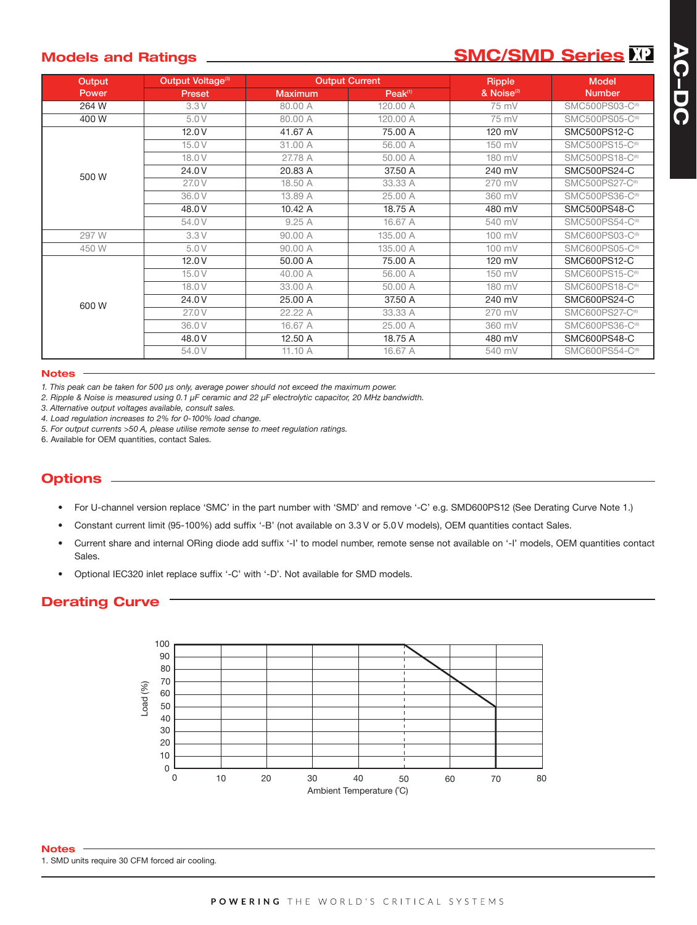# **Models and Ratings \_\_\_\_\_\_\_\_\_\_\_\_\_\_\_\_\_\_\_\_\_\_\_\_\_\_\_\_\_\_SMC/SMD Series**

**AC-DC**

AC-DC

| Output | Output Voltage <sup>(3)</sup> | <b>Output Current</b> |                     | Ripple                 | <b>Model</b>                |
|--------|-------------------------------|-----------------------|---------------------|------------------------|-----------------------------|
| Power  | <b>Preset</b>                 | <b>Maximum</b>        | Peak <sup>(1)</sup> | & Noise <sup>(2)</sup> | <b>Number</b>               |
| 264 W  | 3.3V                          | 80.00 A               | 120.00 A            | 75 mV                  | SMC500PS03-C <sup>(6)</sup> |
| 400W   | 5.0 V                         | 80.00 A               | 120.00 A            | 75 mV                  | SMC500PS05-C <sup>(6)</sup> |
| 500W   | 12.0V                         | 41.67 A               | 75.00 A             | 120 mV                 | SMC500PS12-C                |
|        | 15.0V                         | 31.00 A               | 56,00 A             | 150 mV                 | SMC500PS15-C <sup>(6)</sup> |
|        | 18.0 V                        | 27.78 A               | 50.00 A             | 180 mV                 | SMC500PS18-C <sup>(6)</sup> |
|        | 24.0V                         | 20.83 A               | 37.50 A             | 240 mV                 | SMC500PS24-C                |
|        | 27.0 V                        | 18.50 A               | 33.33 A             | 270 mV                 | SMC500PS27-C <sup>(6)</sup> |
|        | 36.0V                         | 13.89 A               | 25.00 A             | 360 mV                 | SMC500PS36-C <sup>69</sup>  |
|        | 48.0V                         | 10.42 A               | 18.75 A             | 480 mV                 | SMC500PS48-C                |
|        | 54.0V                         | 9.25A                 | 16.67 A             | 540 mV                 | SMC500PS54-C <sup>69</sup>  |
| 297 W  | 3.3V                          | 90.00 A               | 135,00 A            | 100 mV                 | SMC600PS03-C <sup>(6)</sup> |
| 450 W  | 5.0 V                         | 90.00 A               | 135,00 A            | 100 mV                 | SMC600PS05-C <sup>(6)</sup> |
| 600W   | 12.0V                         | 50,00 A               | 75,00 A             | 120 mV                 | SMC600PS12-C                |
|        | 15.0V                         | 40.00 A               | 56,00 A             | 150 mV                 | SMC600PS15-C <sup>(6)</sup> |
|        | 18.0 V                        | 33.00 A               | 50.00 A             | 180 mV                 | SMC600PS18-C <sup>(6)</sup> |
|        | 24.0V                         | 25.00 A               | 37.50 A             | 240 mV                 | SMC600PS24-C                |
|        | 27.0 V                        | 22.22 A               | 33.33 A             | 270 mV                 | SMC600PS27-C <sup>(6)</sup> |
|        | 36.0V                         | 16.67 A               | 25.00 A             | 360 mV                 | SMC600PS36-C(6)             |
|        | 48.0 V                        | 12.50 A               | 18.75 A             | 480 mV                 | SMC600PS48-C                |
|        | 54.0V                         | 11.10 A               | 16.67 A             | 540 mV                 | SMC600PS54-C <sup>69</sup>  |

#### **Notes**

*1. This peak can be taken for 500 μs only, average power should not exceed the maximum power.*

*2. Ripple & Noise is measured using 0.1 μF ceramic and 22 μF electrolytic capacitor, 20 MHz bandwidth.*

*3. Alternative output voltages available, consult sales.*

*4. Load regulation increases to 2% for 0-100% load change.*

*5. For output currents >50 A, please utilise remote sense to meet regulation ratings.*

6. Available for OEM quantities, contact Sales.

# **Options**

- For U-channel version replace 'SMC' in the part number with 'SMD' and remove '-C' e.g. SMD600PS12 (See Derating Curve Note 1.)
- Constant current limit (95-100%) add suffix '-B' (not available on 3.3 V or 5.0 V models), OEM quantities contact Sales.
- Current share and internal ORing diode add suffix '-I' to model number, remote sense not available on '-I' models, OEM quantities contact Sales.
- Optional IEC320 inlet replace suffix '-C' with '-D'. Not available for SMD models.

# **Derating Curve**



1. SMD units require 30 CFM forced air cooling. **Notes**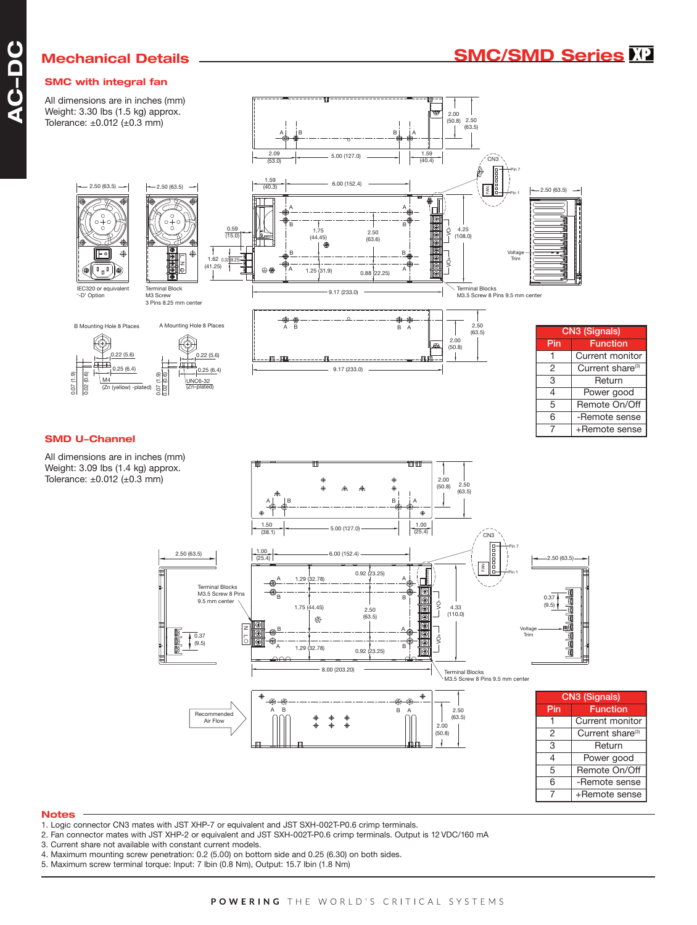#### **SMC with integral fan**

All dimensions are in inches (mm) Weight: 3.30 lbs (1.5 kg) approx. Tolerance: ±0.012 (±0.3 mm)



#### **Notes**

- 1. Logic connector CN3 mates with JST XHP-7 or equivalent and JST SXH-002T-P0.6 crimp terminals.
- 2. Fan connector mates with JST XHP-2 or equivalent and JST SXH-002T-P0.6 crimp terminals. Output is 12 VDC/160 mA
- 3. Current share not available with constant current models.
- 4. Maximum mounting screw penetration: 0.2 (5.00) on bottom side and 0.25 (6.30) on both sides.
- 5. Maximum screw terminal torque: Input: 7 lbin (0.8 Nm), Output: 15.7 lbin (1.8 Nm)